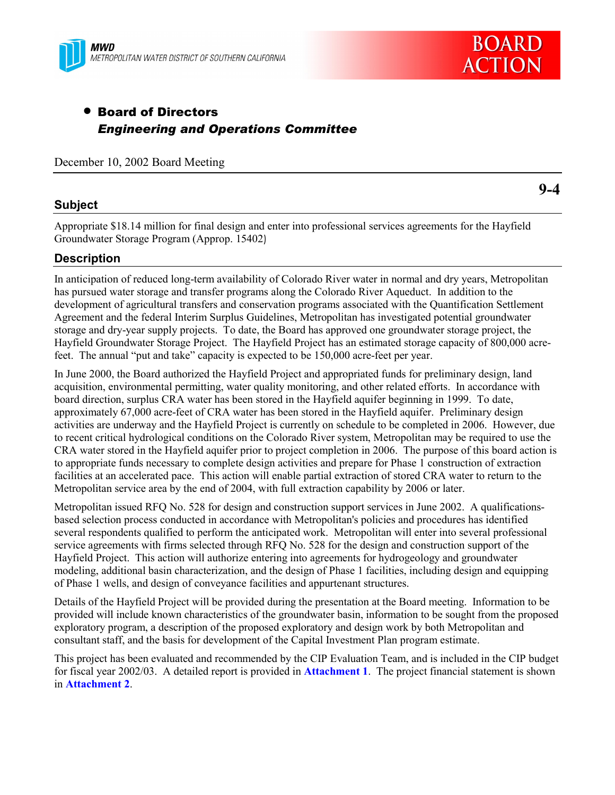



# • Board of Directors *Engineering and Operations Committee*

December 10, 2002 Board Meeting

### **Subject**

Appropriate \$18.14 million for final design and enter into professional services agreements for the Hayfield Groundwater Storage Program (Approp. 15402)

### **Description**

In anticipation of reduced long-term availability of Colorado River water in normal and dry years, Metropolitan has pursued water storage and transfer programs along the Colorado River Aqueduct. In addition to the development of agricultural transfers and conservation programs associated with the Quantification Settlement Agreement and the federal Interim Surplus Guidelines, Metropolitan has investigated potential groundwater storage and dry-year supply projects. To date, the Board has approved one groundwater storage project, the Hayfield Groundwater Storage Project. The Hayfield Project has an estimated storage capacity of 800,000 acrefeet. The annual "put and take" capacity is expected to be  $150,000$  acre-feet per year.

In June 2000, the Board authorized the Hayfield Project and appropriated funds for preliminary design, land acquisition, environmental permitting, water quality monitoring, and other related efforts. In accordance with board direction, surplus CRA water has been stored in the Hayfield aquifer beginning in 1999. To date, approximately 67,000 acre-feet of CRA water has been stored in the Hayfield aquifer. Preliminary design activities are underway and the Hayfield Project is currently on schedule to be completed in 2006. However, due to recent critical hydrological conditions on the Colorado River system, Metropolitan may be required to use the CRA water stored in the Hayfield aquifer prior to project completion in 2006. The purpose of this board action is to appropriate funds necessary to complete design activities and prepare for Phase 1 construction of extraction facilities at an accelerated pace. This action will enable partial extraction of stored CRA water to return to the Metropolitan service area by the end of 2004, with full extraction capability by 2006 or later.

Metropolitan issued RFQ No. 528 for design and construction support services in June 2002. A qualificationsbased selection process conducted in accordance with Metropolitan's policies and procedures has identified several respondents qualified to perform the anticipated work. Metropolitan will enter into several professional service agreements with firms selected through RFQ No. 528 for the design and construction support of the Hayfield Project. This action will authorize entering into agreements for hydrogeology and groundwater modeling, additional basin characterization, and the design of Phase 1 facilities, including design and equipping of Phase 1 wells, and design of conveyance facilities and appurtenant structures.

Details of the Hayfield Project will be provided during the presentation at the Board meeting. Information to be provided will include known characteristics of the groundwater basin, information to be sought from the proposed exploratory program, a description of the proposed exploratory and design work by both Metropolitan and consultant staff, and the basis for development of the Capital Investment Plan program estimate.

This project has been evaluated and recommended by the CIP Evaluation Team, and is included in the CIP budget for fiscal year 2002/03. A detailed report is provided in **Attachment 1**. The project financial statement is shown in **Attachment 2**.

**9-4**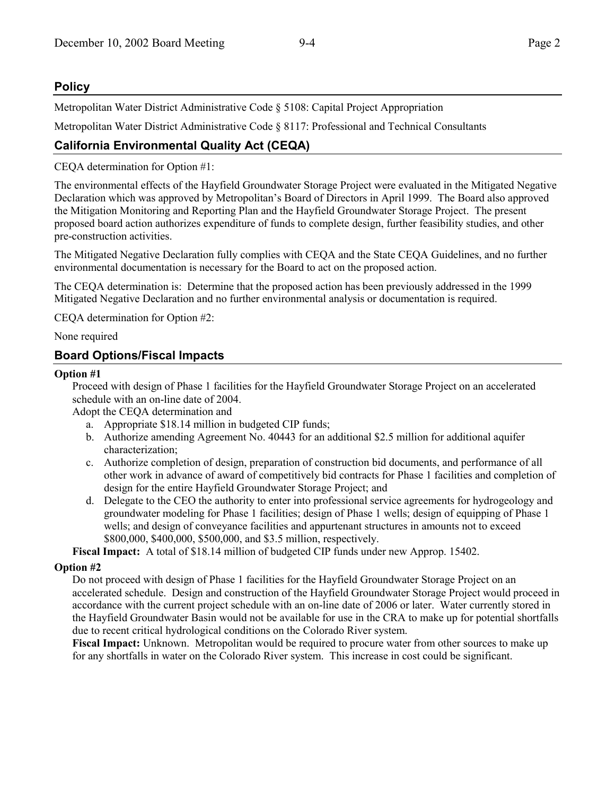## **Policy**

Metropolitan Water District Administrative Code ß 5108: Capital Project Appropriation

Metropolitan Water District Administrative Code § 8117: Professional and Technical Consultants

# **California Environmental Quality Act (CEQA)**

CEQA determination for Option #1:

The environmental effects of the Hayfield Groundwater Storage Project were evaluated in the Mitigated Negative Declaration which was approved by Metropolitan's Board of Directors in April 1999. The Board also approved the Mitigation Monitoring and Reporting Plan and the Hayfield Groundwater Storage Project. The present proposed board action authorizes expenditure of funds to complete design, further feasibility studies, and other pre-construction activities.

The Mitigated Negative Declaration fully complies with CEQA and the State CEQA Guidelines, and no further environmental documentation is necessary for the Board to act on the proposed action.

The CEQA determination is: Determine that the proposed action has been previously addressed in the 1999 Mitigated Negative Declaration and no further environmental analysis or documentation is required.

CEQA determination for Option #2:

#### None required

### **Board Options/Fiscal Impacts**

#### **Option #1**

Proceed with design of Phase 1 facilities for the Hayfield Groundwater Storage Project on an accelerated schedule with an on-line date of 2004.

Adopt the CEQA determination and

- a. Appropriate \$18.14 million in budgeted CIP funds;
- b. Authorize amending Agreement No. 40443 for an additional \$2.5 million for additional aquifer characterization;
- c. Authorize completion of design, preparation of construction bid documents, and performance of all other work in advance of award of competitively bid contracts for Phase 1 facilities and completion of design for the entire Hayfield Groundwater Storage Project; and
- d. Delegate to the CEO the authority to enter into professional service agreements for hydrogeology and groundwater modeling for Phase 1 facilities; design of Phase 1 wells; design of equipping of Phase 1 wells; and design of conveyance facilities and appurtenant structures in amounts not to exceed \$800,000, \$400,000, \$500,000, and \$3.5 million, respectively.

**Fiscal Impact:** A total of \$18.14 million of budgeted CIP funds under new Approp. 15402.

### **Option #2**

Do not proceed with design of Phase 1 facilities for the Hayfield Groundwater Storage Project on an accelerated schedule. Design and construction of the Hayfield Groundwater Storage Project would proceed in accordance with the current project schedule with an on-line date of 2006 or later. Water currently stored in the Hayfield Groundwater Basin would not be available for use in the CRA to make up for potential shortfalls due to recent critical hydrological conditions on the Colorado River system.

**Fiscal Impact:** Unknown. Metropolitan would be required to procure water from other sources to make up for any shortfalls in water on the Colorado River system. This increase in cost could be significant.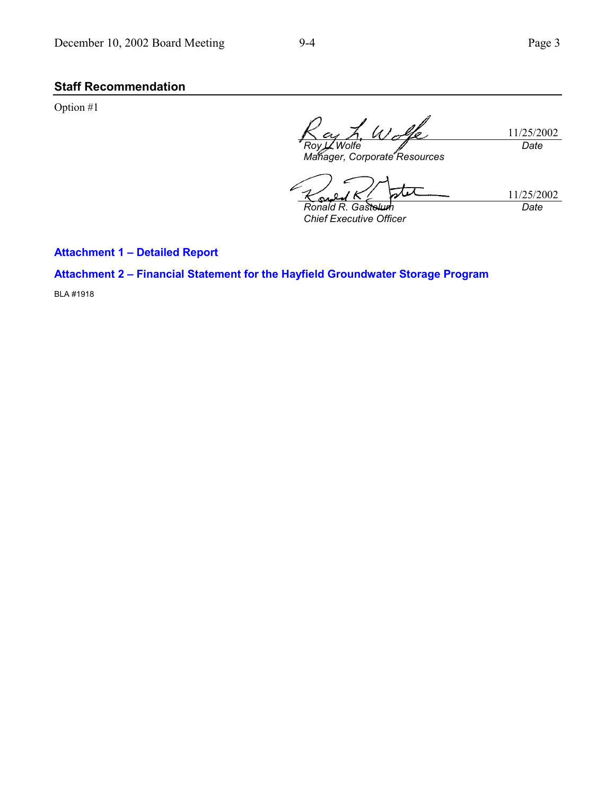# **Staff Recommendation**

Option #1

11/25/2002 *Roy L. Wolfe Manager, Corporate Resources Date*

r T 11/25/2002 ىت *Date Ronald R. Gastelum*

*Chief Executive Officer*

**Attachment 1 - Detailed Report** 

### Attachment 2 - Financial Statement for the Hayfield Groundwater Storage Program

BLA #1918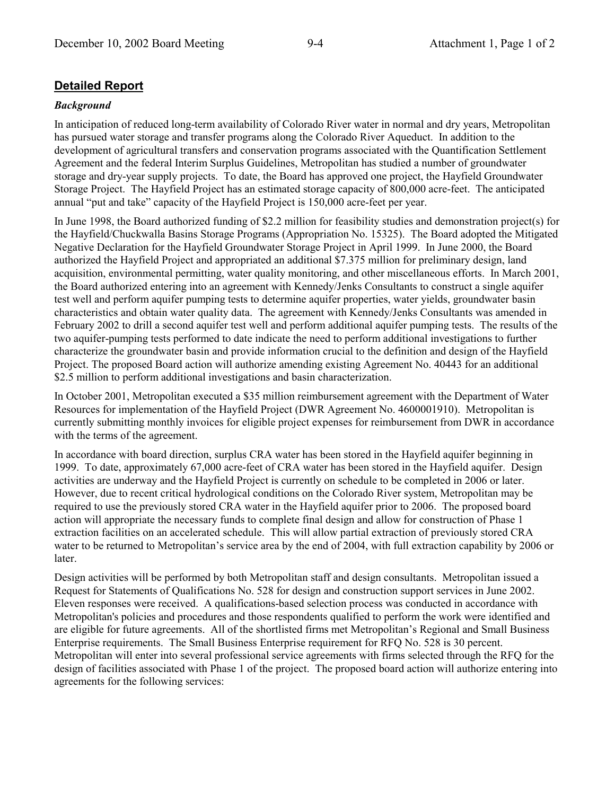## **Detailed Report**

#### *Background*

In anticipation of reduced long-term availability of Colorado River water in normal and dry years, Metropolitan has pursued water storage and transfer programs along the Colorado River Aqueduct. In addition to the development of agricultural transfers and conservation programs associated with the Quantification Settlement Agreement and the federal Interim Surplus Guidelines, Metropolitan has studied a number of groundwater storage and dry-year supply projects. To date, the Board has approved one project, the Hayfield Groundwater Storage Project. The Hayfield Project has an estimated storage capacity of 800,000 acre-feet. The anticipated annual "put and take" capacity of the Hayfield Project is 150,000 acre-feet per year.

In June 1998, the Board authorized funding of \$2.2 million for feasibility studies and demonstration project(s) for the Hayfield/Chuckwalla Basins Storage Programs (Appropriation No. 15325). The Board adopted the Mitigated Negative Declaration for the Hayfield Groundwater Storage Project in April 1999. In June 2000, the Board authorized the Hayfield Project and appropriated an additional \$7.375 million for preliminary design, land acquisition, environmental permitting, water quality monitoring, and other miscellaneous efforts. In March 2001, the Board authorized entering into an agreement with Kennedy/Jenks Consultants to construct a single aquifer test well and perform aquifer pumping tests to determine aquifer properties, water yields, groundwater basin characteristics and obtain water quality data. The agreement with Kennedy/Jenks Consultants was amended in February 2002 to drill a second aquifer test well and perform additional aquifer pumping tests. The results of the two aquifer-pumping tests performed to date indicate the need to perform additional investigations to further characterize the groundwater basin and provide information crucial to the definition and design of the Hayfield Project. The proposed Board action will authorize amending existing Agreement No. 40443 for an additional \$2.5 million to perform additional investigations and basin characterization.

In October 2001, Metropolitan executed a \$35 million reimbursement agreement with the Department of Water Resources for implementation of the Hayfield Project (DWR Agreement No. 4600001910). Metropolitan is currently submitting monthly invoices for eligible project expenses for reimbursement from DWR in accordance with the terms of the agreement.

In accordance with board direction, surplus CRA water has been stored in the Hayfield aquifer beginning in 1999. To date, approximately 67,000 acre-feet of CRA water has been stored in the Hayfield aquifer. Design activities are underway and the Hayfield Project is currently on schedule to be completed in 2006 or later. However, due to recent critical hydrological conditions on the Colorado River system, Metropolitan may be required to use the previously stored CRA water in the Hayfield aquifer prior to 2006. The proposed board action will appropriate the necessary funds to complete final design and allow for construction of Phase 1 extraction facilities on an accelerated schedule. This will allow partial extraction of previously stored CRA water to be returned to Metropolitan's service area by the end of 2004, with full extraction capability by 2006 or later.

Design activities will be performed by both Metropolitan staff and design consultants. Metropolitan issued a Request for Statements of Qualifications No. 528 for design and construction support services in June 2002. Eleven responses were received. A qualifications-based selection process was conducted in accordance with Metropolitan's policies and procedures and those respondents qualified to perform the work were identified and are eligible for future agreements. All of the shortlisted firms met Metropolitan's Regional and Small Business Enterprise requirements. The Small Business Enterprise requirement for RFQ No. 528 is 30 percent. Metropolitan will enter into several professional service agreements with firms selected through the RFQ for the design of facilities associated with Phase 1 of the project. The proposed board action will authorize entering into agreements for the following services: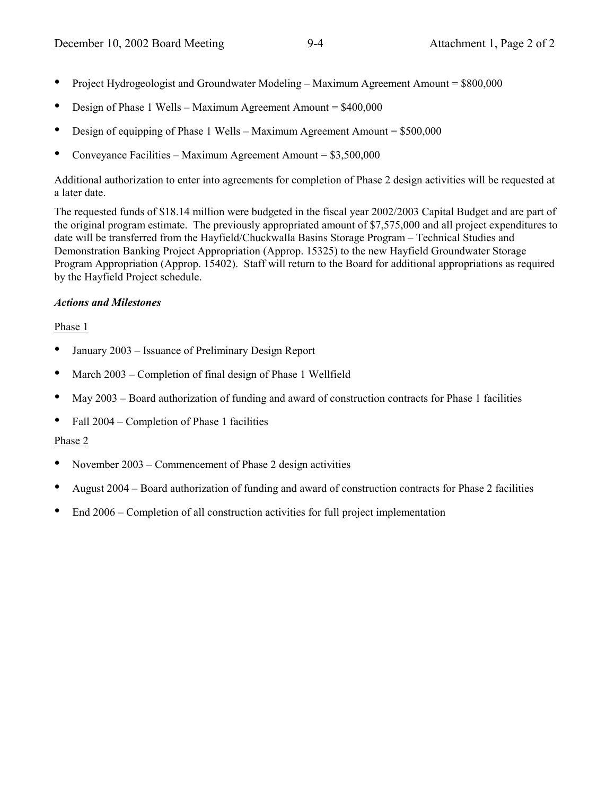- Project Hydrogeologist and Groundwater Modeling  $-$  Maximum Agreement Amount  $=$  \$800,000
- Design of Phase 1 Wells Maximum Agreement Amount  $= $400,000$
- Design of equipping of Phase 1 Wells Maximum Agreement Amount =  $$500,000$
- Conveyance Facilities Maximum Agreement Amount =  $$3,500,000$

Additional authorization to enter into agreements for completion of Phase 2 design activities will be requested at a later date.

The requested funds of \$18.14 million were budgeted in the fiscal year 2002/2003 Capital Budget and are part of the original program estimate. The previously appropriated amount of \$7,575,000 and all project expenditures to date will be transferred from the Hayfield/Chuckwalla Basins Storage Program – Technical Studies and Demonstration Banking Project Appropriation (Approp. 15325) to the new Hayfield Groundwater Storage Program Appropriation (Approp. 15402). Staff will return to the Board for additional appropriations as required by the Hayfield Project schedule.

#### *Actions and Milestones*

#### Phase 1

- January 2003 Issuance of Preliminary Design Report
- March 2003 Completion of final design of Phase 1 Wellfield
- $\text{May } 2003 \text{Board authorization of funding and award of construction contracts for Phase 1 facilities}$
- Fall 2004 Completion of Phase 1 facilities

#### Phase 2

- November 2003 Commencement of Phase 2 design activities
- August  $2004$  Board authorization of funding and award of construction contracts for Phase 2 facilities
- $End 2006$  Completion of all construction activities for full project implementation